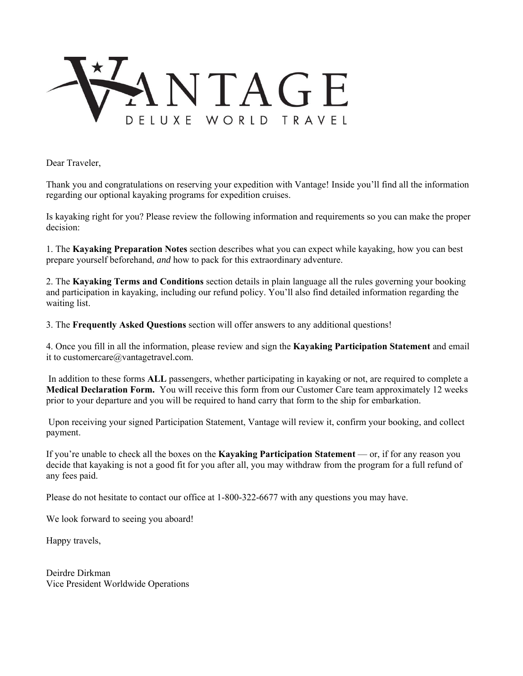

Dear Traveler,

Thank you and congratulations on reserving your expedition with Vantage! Inside you'll find all the information regarding our optional kayaking programs for expedition cruises.

Is kayaking right for you? Please review the following information and requirements so you can make the proper decision:

1. The **Kayaking Preparation Notes** section describes what you can expect while kayaking, how you can best prepare yourself beforehand, *and* how to pack for this extraordinary adventure.

2. The **Kayaking Terms and Conditions** section details in plain language all the rules governing your booking and participation in kayaking, including our refund policy. You'll also find detailed information regarding the waiting list.

3. The **Frequently Asked Questions** section will offer answers to any additional questions!

4. Once you fill in all the information, please review and sign the **Kayaking Participation Statement** and email it to customercare@vantagetravel.com.

 In addition to these forms **ALL** passengers, whether participating in kayaking or not, are required to complete a **Medical Declaration Form.** You will receive this form from our Customer Care team approximately 12 weeks prior to your departure and you will be required to hand carry that form to the ship for embarkation.

 Upon receiving your signed Participation Statement, Vantage will review it, confirm your booking, and collect payment.

If you're unable to check all the boxes on the **Kayaking Participation Statement** — or, if for any reason you decide that kayaking is not a good fit for you after all, you may withdraw from the program for a full refund of any fees paid.

Please do not hesitate to contact our office at 1-800-322-6677 with any questions you may have.

We look forward to seeing you aboard!

Happy travels,

Deirdre Dirkman Vice President Worldwide Operations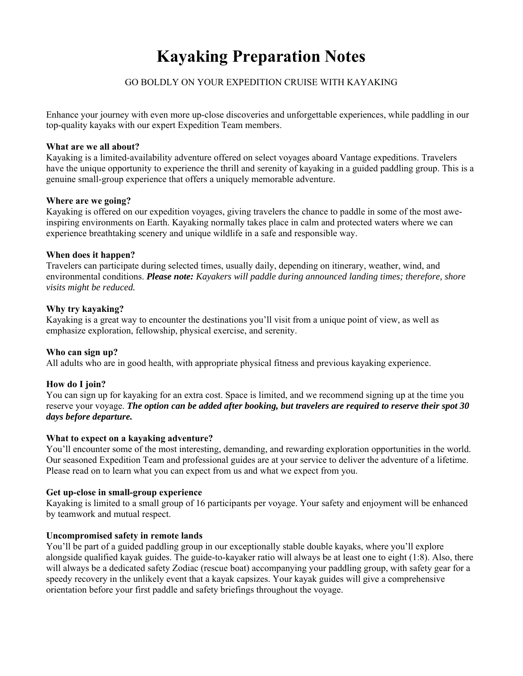# **Kayaking Preparation Notes**

# GO BOLDLY ON YOUR EXPEDITION CRUISE WITH KAYAKING

Enhance your journey with even more up-close discoveries and unforgettable experiences, while paddling in our top‐quality kayaks with our expert Expedition Team members.

#### **What are we all about?**

Kayaking is a limited‐availability adventure offered on select voyages aboard Vantage expeditions. Travelers have the unique opportunity to experience the thrill and serenity of kayaking in a guided paddling group. This is a genuine small‐group experience that offers a uniquely memorable adventure.

#### **Where are we going?**

Kayaking is offered on our expedition voyages, giving travelers the chance to paddle in some of the most awe‐ inspiring environments on Earth. Kayaking normally takes place in calm and protected waters where we can experience breathtaking scenery and unique wildlife in a safe and responsible way.

#### **When does it happen?**

Travelers can participate during selected times, usually daily, depending on itinerary, weather, wind, and environmental conditions. *Please note: Kayakers will paddle during announced landing times; therefore, shore visits might be reduced.*

### **Why try kayaking?**

Kayaking is a great way to encounter the destinations you'll visit from a unique point of view, as well as emphasize exploration, fellowship, physical exercise, and serenity.

### **Who can sign up?**

All adults who are in good health, with appropriate physical fitness and previous kayaking experience.

### **How do I join?**

You can sign up for kayaking for an extra cost. Space is limited, and we recommend signing up at the time you reserve your voyage. *The option can be added after booking, but travelers are required to reserve their spot 30 days before departure.* 

### **What to expect on a kayaking adventure?**

You'll encounter some of the most interesting, demanding, and rewarding exploration opportunities in the world. Our seasoned Expedition Team and professional guides are at your service to deliver the adventure of a lifetime. Please read on to learn what you can expect from us and what we expect from you.

#### **Get up-close in small-group experience**

Kayaking is limited to a small group of 16 participants per voyage. Your safety and enjoyment will be enhanced by teamwork and mutual respect.

### **Uncompromised safety in remote lands**

You'll be part of a guided paddling group in our exceptionally stable double kayaks, where you'll explore alongside qualified kayak guides. The guide-to-kayaker ratio will always be at least one to eight (1:8). Also, there will always be a dedicated safety Zodiac (rescue boat) accompanying your paddling group, with safety gear for a speedy recovery in the unlikely event that a kayak capsizes. Your kayak guides will give a comprehensive orientation before your first paddle and safety briefings throughout the voyage.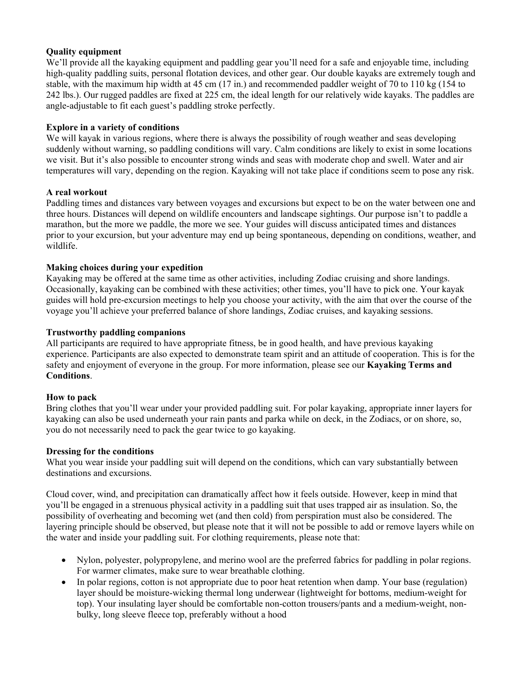# **Quality equipment**

We'll provide all the kayaking equipment and paddling gear you'll need for a safe and enjoyable time, including high-quality paddling suits, personal flotation devices, and other gear. Our double kayaks are extremely tough and stable, with the maximum hip width at 45 cm (17 in.) and recommended paddler weight of 70 to 110 kg (154 to 242 lbs.). Our rugged paddles are fixed at 225 cm, the ideal length for our relatively wide kayaks. The paddles are angle-adjustable to fit each guest's paddling stroke perfectly.

# **Explore in a variety of conditions**

We will kayak in various regions, where there is always the possibility of rough weather and seas developing suddenly without warning, so paddling conditions will vary. Calm conditions are likely to exist in some locations we visit. But it's also possible to encounter strong winds and seas with moderate chop and swell. Water and air temperatures will vary, depending on the region. Kayaking will not take place if conditions seem to pose any risk.

# **A real workout**

Paddling times and distances vary between voyages and excursions but expect to be on the water between one and three hours. Distances will depend on wildlife encounters and landscape sightings. Our purpose isn't to paddle a marathon, but the more we paddle, the more we see. Your guides will discuss anticipated times and distances prior to your excursion, but your adventure may end up being spontaneous, depending on conditions, weather, and wildlife.

# **Making choices during your expedition**

Kayaking may be offered at the same time as other activities, including Zodiac cruising and shore landings. Occasionally, kayaking can be combined with these activities; other times, you'll have to pick one. Your kayak guides will hold pre‐excursion meetings to help you choose your activity, with the aim that over the course of the voyage you'll achieve your preferred balance of shore landings, Zodiac cruises, and kayaking sessions.

# **Trustworthy paddling companions**

All participants are required to have appropriate fitness, be in good health, and have previous kayaking experience. Participants are also expected to demonstrate team spirit and an attitude of cooperation. This is for the safety and enjoyment of everyone in the group. For more information, please see our **Kayaking Terms and Conditions**.

### **How to pack**

Bring clothes that you'll wear under your provided paddling suit. For polar kayaking, appropriate inner layers for kayaking can also be used underneath your rain pants and parka while on deck, in the Zodiacs, or on shore, so, you do not necessarily need to pack the gear twice to go kayaking.

### **Dressing for the conditions**

What you wear inside your paddling suit will depend on the conditions, which can vary substantially between destinations and excursions.

Cloud cover, wind, and precipitation can dramatically affect how it feels outside. However, keep in mind that you'll be engaged in a strenuous physical activity in a paddling suit that uses trapped air as insulation. So, the possibility of overheating and becoming wet (and then cold) from perspiration must also be considered. The layering principle should be observed, but please note that it will not be possible to add or remove layers while on the water and inside your paddling suit. For clothing requirements, please note that:

- Nylon, polyester, polypropylene, and merino wool are the preferred fabrics for paddling in polar regions. For warmer climates, make sure to wear breathable clothing.
- In polar regions, cotton is not appropriate due to poor heat retention when damp. Your base (regulation) layer should be moisture‐wicking thermal long underwear (lightweight for bottoms, medium‐weight for top). Your insulating layer should be comfortable non-cotton trousers/pants and a medium-weight, nonbulky, long sleeve fleece top, preferably without a hood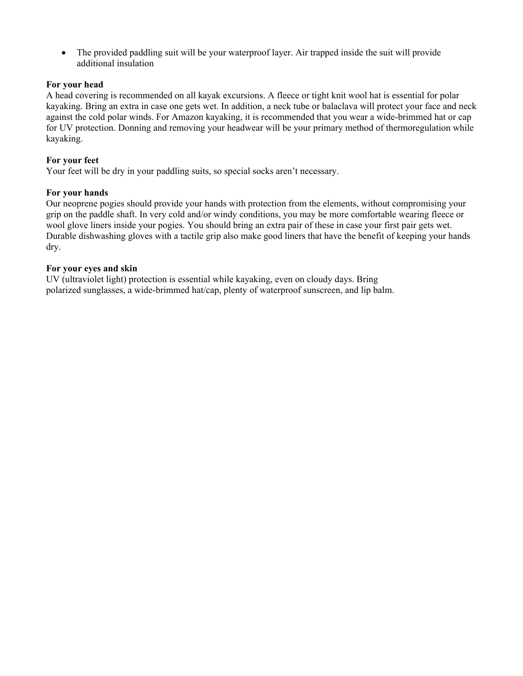The provided paddling suit will be your waterproof layer. Air trapped inside the suit will provide additional insulation

### **For your head**

A head covering is recommended on all kayak excursions. A fleece or tight knit wool hat is essential for polar kayaking. Bring an extra in case one gets wet. In addition, a neck tube or balaclava will protect your face and neck against the cold polar winds. For Amazon kayaking, it is recommended that you wear a wide‐brimmed hat or cap for UV protection. Donning and removing your headwear will be your primary method of thermoregulation while kayaking.

### **For your feet**

Your feet will be dry in your paddling suits, so special socks aren't necessary.

#### **For your hands**

Our neoprene pogies should provide your hands with protection from the elements, without compromising your grip on the paddle shaft. In very cold and/or windy conditions, you may be more comfortable wearing fleece or wool glove liners inside your pogies. You should bring an extra pair of these in case your first pair gets wet. Durable dishwashing gloves with a tactile grip also make good liners that have the benefit of keeping your hands dry.

#### **For your eyes and skin**

UV (ultraviolet light) protection is essential while kayaking, even on cloudy days. Bring polarized sunglasses, a wide‐brimmed hat/cap, plenty of waterproof sunscreen, and lip balm.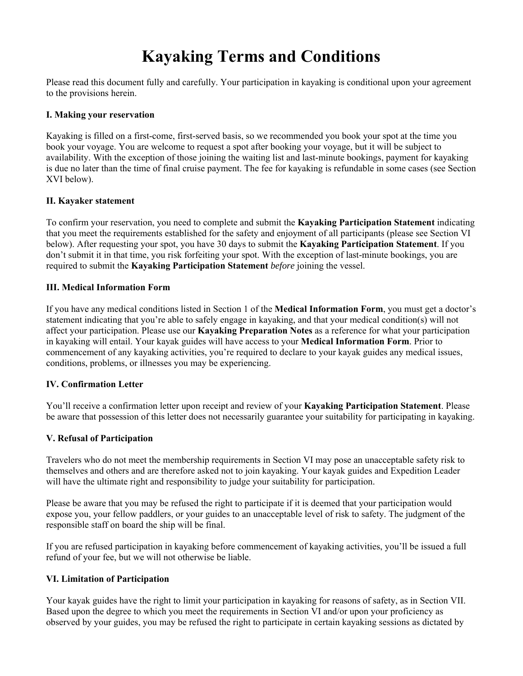# **Kayaking Terms and Conditions**

Please read this document fully and carefully. Your participation in kayaking is conditional upon your agreement to the provisions herein.

# **I. Making your reservation**

Kayaking is filled on a first-come, first-served basis, so we recommended you book your spot at the time you book your voyage. You are welcome to request a spot after booking your voyage, but it will be subject to availability. With the exception of those joining the waiting list and last-minute bookings, payment for kayaking is due no later than the time of final cruise payment. The fee for kayaking is refundable in some cases (see Section XVI below).

# **II. Kayaker statement**

To confirm your reservation, you need to complete and submit the **Kayaking Participation Statement** indicating that you meet the requirements established for the safety and enjoyment of all participants (please see Section VI below). After requesting your spot, you have 30 days to submit the **Kayaking Participation Statement**. If you don't submit it in that time, you risk forfeiting your spot. With the exception of last-minute bookings, you are required to submit the **Kayaking Participation Statement** *before* joining the vessel.

# **III. Medical Information Form**

If you have any medical conditions listed in Section 1 of the **Medical Information Form**, you must get a doctor's statement indicating that you're able to safely engage in kayaking, and that your medical condition(s) will not affect your participation. Please use our **Kayaking Preparation Notes** as a reference for what your participation in kayaking will entail. Your kayak guides will have access to your **Medical Information Form**. Prior to commencement of any kayaking activities, you're required to declare to your kayak guides any medical issues, conditions, problems, or illnesses you may be experiencing.

# **IV. Confirmation Letter**

You'll receive a confirmation letter upon receipt and review of your **Kayaking Participation Statement**. Please be aware that possession of this letter does not necessarily guarantee your suitability for participating in kayaking.

# **V. Refusal of Participation**

Travelers who do not meet the membership requirements in Section VI may pose an unacceptable safety risk to themselves and others and are therefore asked not to join kayaking. Your kayak guides and Expedition Leader will have the ultimate right and responsibility to judge your suitability for participation.

Please be aware that you may be refused the right to participate if it is deemed that your participation would expose you, your fellow paddlers, or your guides to an unacceptable level of risk to safety. The judgment of the responsible staff on board the ship will be final.

If you are refused participation in kayaking before commencement of kayaking activities, you'll be issued a full refund of your fee, but we will not otherwise be liable.

### **VI. Limitation of Participation**

Your kayak guides have the right to limit your participation in kayaking for reasons of safety, as in Section VII. Based upon the degree to which you meet the requirements in Section VI and/or upon your proficiency as observed by your guides, you may be refused the right to participate in certain kayaking sessions as dictated by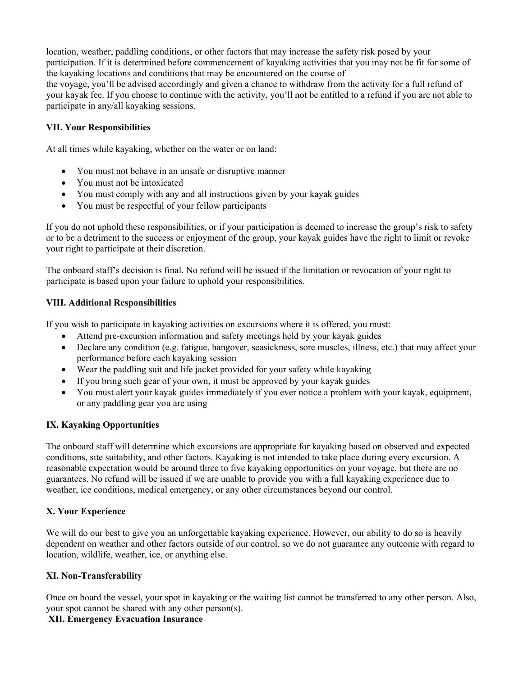location, weather, paddling conditions, or other factors that may increase the safety risk posed by your participation. If it is determined before commencement of kayaking activities that you may not be fit for some of the kayaking locations and conditions that may be encountered on the course of the voyage, you'll be advised accordingly and given a chance to withdraw from the activity for a full refund of your kayak fee. If you choose to continue with the activity, you'll not be entitled to a refund if you are not able to participate in any/all kayaking sessions.

# **VII. Your Responsibilities**

At all times while kayaking, whether on the water or on land:

- You must not behave in an unsafe or disruptive manner
- You must not be intoxicated
- You must comply with any and all instructions given by your kayak guides
- You must be respectful of your fellow participants

If you do not uphold these responsibilities, or if your participation is deemed to increase the group's risk to safety or to be a detriment to the success or enjoyment of the group, your kayak guides have the right to limit or revoke your right to participate at their discretion.

The onboard staff's decision is final. No refund will be issued if the limitation or revocation of your right to participate is based upon your failure to uphold your responsibilities.

# **VIII. Additional Responsibilities**

If you wish to participate in kayaking activities on excursions where it is offered, you must:

- Attend pre‐excursion information and safety meetings held by your kayak guides
- Declare any condition (e.g. fatigue, hangover, seasickness, sore muscles, illness, etc.) that may affect your performance before each kayaking session
- Wear the paddling suit and life jacket provided for your safety while kayaking
- If you bring such gear of your own, it must be approved by your kayak guides
- You must alert your kayak guides immediately if you ever notice a problem with your kayak, equipment, or any paddling gear you are using

# **IX. Kayaking Opportunities**

The onboard staff will determine which excursions are appropriate for kayaking based on observed and expected conditions, site suitability, and other factors. Kayaking is not intended to take place during every excursion. A reasonable expectation would be around three to five kayaking opportunities on your voyage, but there are no guarantees. No refund will be issued if we are unable to provide you with a full kayaking experience due to weather, ice conditions, medical emergency, or any other circumstances beyond our control.

### **X. Your Experience**

We will do our best to give you an unforgettable kayaking experience. However, our ability to do so is heavily dependent on weather and other factors outside of our control, so we do not guarantee any outcome with regard to location, wildlife, weather, ice, or anything else.

### **XI. Non‐Transferability**

Once on board the vessel, your spot in kayaking or the waiting list cannot be transferred to any other person. Also, your spot cannot be shared with any other person(s).

# **XII. Emergency Evacuation Insurance**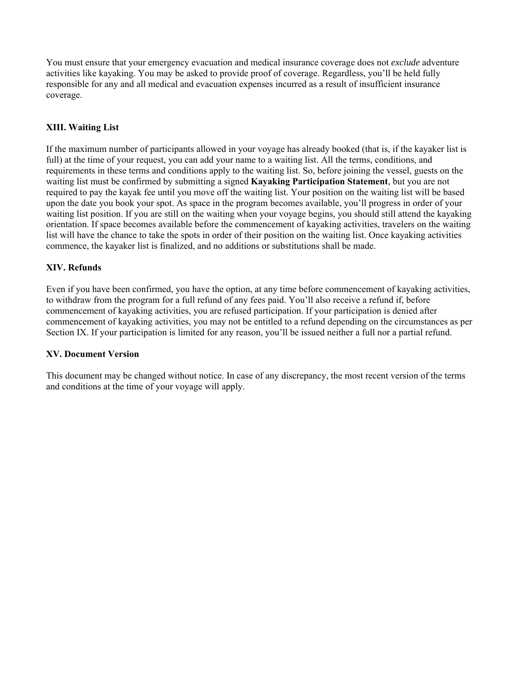You must ensure that your emergency evacuation and medical insurance coverage does not *exclude* adventure activities like kayaking. You may be asked to provide proof of coverage. Regardless, you'll be held fully responsible for any and all medical and evacuation expenses incurred as a result of insufficient insurance coverage.

# **XIII. Waiting List**

If the maximum number of participants allowed in your voyage has already booked (that is, if the kayaker list is full) at the time of your request, you can add your name to a waiting list. All the terms, conditions, and requirements in these terms and conditions apply to the waiting list. So, before joining the vessel, guests on the waiting list must be confirmed by submitting a signed **Kayaking Participation Statement**, but you are not required to pay the kayak fee until you move off the waiting list. Your position on the waiting list will be based upon the date you book your spot. As space in the program becomes available, you'll progress in order of your waiting list position. If you are still on the waiting when your voyage begins, you should still attend the kayaking orientation. If space becomes available before the commencement of kayaking activities, travelers on the waiting list will have the chance to take the spots in order of their position on the waiting list. Once kayaking activities commence, the kayaker list is finalized, and no additions or substitutions shall be made.

# **XIV. Refunds**

Even if you have been confirmed, you have the option, at any time before commencement of kayaking activities, to withdraw from the program for a full refund of any fees paid. You'll also receive a refund if, before commencement of kayaking activities, you are refused participation. If your participation is denied after commencement of kayaking activities, you may not be entitled to a refund depending on the circumstances as per Section IX. If your participation is limited for any reason, you'll be issued neither a full nor a partial refund.

### **XV. Document Version**

This document may be changed without notice. In case of any discrepancy, the most recent version of the terms and conditions at the time of your voyage will apply.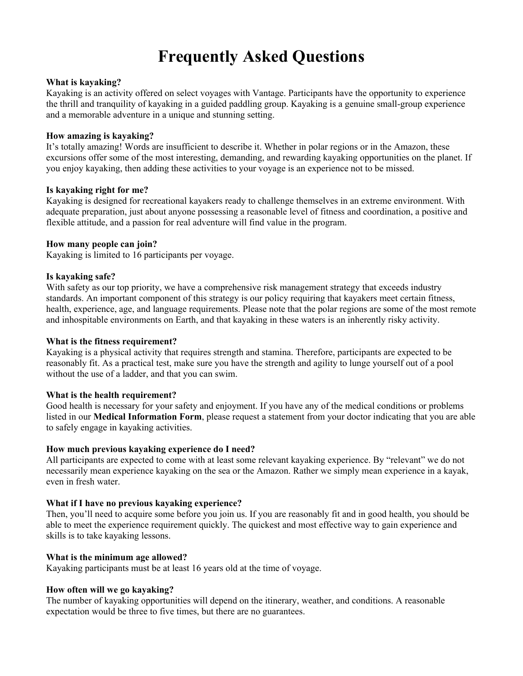# **Frequently Asked Questions**

### **What is kayaking?**

Kayaking is an activity offered on select voyages with Vantage. Participants have the opportunity to experience the thrill and tranquility of kayaking in a guided paddling group. Kayaking is a genuine small‐group experience and a memorable adventure in a unique and stunning setting.

#### **How amazing is kayaking?**

It's totally amazing! Words are insufficient to describe it. Whether in polar regions or in the Amazon, these excursions offer some of the most interesting, demanding, and rewarding kayaking opportunities on the planet. If you enjoy kayaking, then adding these activities to your voyage is an experience not to be missed.

#### **Is kayaking right for me?**

Kayaking is designed for recreational kayakers ready to challenge themselves in an extreme environment. With adequate preparation, just about anyone possessing a reasonable level of fitness and coordination, a positive and flexible attitude, and a passion for real adventure will find value in the program.

#### **How many people can join?**

Kayaking is limited to 16 participants per voyage.

#### **Is kayaking safe?**

With safety as our top priority, we have a comprehensive risk management strategy that exceeds industry standards. An important component of this strategy is our policy requiring that kayakers meet certain fitness, health, experience, age, and language requirements. Please note that the polar regions are some of the most remote and inhospitable environments on Earth, and that kayaking in these waters is an inherently risky activity.

#### **What is the fitness requirement?**

Kayaking is a physical activity that requires strength and stamina. Therefore, participants are expected to be reasonably fit. As a practical test, make sure you have the strength and agility to lunge yourself out of a pool without the use of a ladder, and that you can swim.

#### **What is the health requirement?**

Good health is necessary for your safety and enjoyment. If you have any of the medical conditions or problems listed in our **Medical Information Form**, please request a statement from your doctor indicating that you are able to safely engage in kayaking activities.

#### **How much previous kayaking experience do I need?**

All participants are expected to come with at least some relevant kayaking experience. By "relevant" we do not necessarily mean experience kayaking on the sea or the Amazon. Rather we simply mean experience in a kayak, even in fresh water.

### **What if I have no previous kayaking experience?**

Then, you'll need to acquire some before you join us. If you are reasonably fit and in good health, you should be able to meet the experience requirement quickly. The quickest and most effective way to gain experience and skills is to take kayaking lessons.

#### **What is the minimum age allowed?**

Kayaking participants must be at least 16 years old at the time of voyage.

#### **How often will we go kayaking?**

The number of kayaking opportunities will depend on the itinerary, weather, and conditions. A reasonable expectation would be three to five times, but there are no guarantees.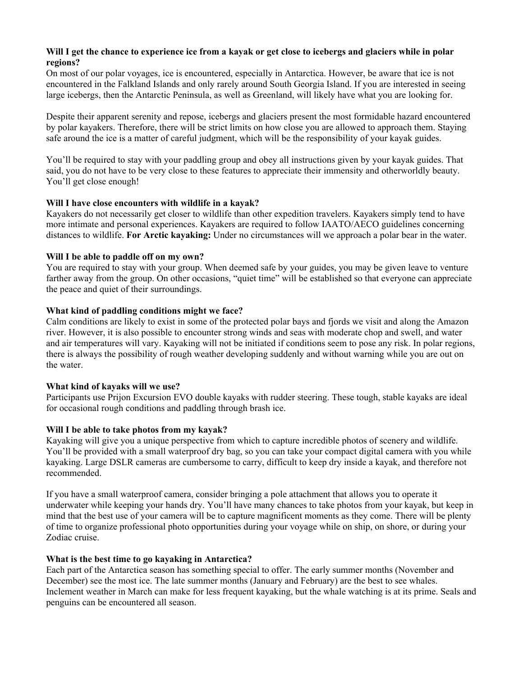# **Will I get the chance to experience ice from a kayak or get close to icebergs and glaciers while in polar regions?**

On most of our polar voyages, ice is encountered, especially in Antarctica. However, be aware that ice is not encountered in the Falkland Islands and only rarely around South Georgia Island. If you are interested in seeing large icebergs, then the Antarctic Peninsula, as well as Greenland, will likely have what you are looking for.

Despite their apparent serenity and repose, icebergs and glaciers present the most formidable hazard encountered by polar kayakers. Therefore, there will be strict limits on how close you are allowed to approach them. Staying safe around the ice is a matter of careful judgment, which will be the responsibility of your kayak guides.

You'll be required to stay with your paddling group and obey all instructions given by your kayak guides. That said, you do not have to be very close to these features to appreciate their immensity and otherworldly beauty. You'll get close enough!

# **Will I have close encounters with wildlife in a kayak?**

Kayakers do not necessarily get closer to wildlife than other expedition travelers. Kayakers simply tend to have more intimate and personal experiences. Kayakers are required to follow IAATO/AECO guidelines concerning distances to wildlife. **For Arctic kayaking:** Under no circumstances will we approach a polar bear in the water.

# **Will I be able to paddle off on my own?**

You are required to stay with your group. When deemed safe by your guides, you may be given leave to venture farther away from the group. On other occasions, "quiet time" will be established so that everyone can appreciate the peace and quiet of their surroundings.

# **What kind of paddling conditions might we face?**

Calm conditions are likely to exist in some of the protected polar bays and fjords we visit and along the Amazon river. However, it is also possible to encounter strong winds and seas with moderate chop and swell, and water and air temperatures will vary. Kayaking will not be initiated if conditions seem to pose any risk. In polar regions, there is always the possibility of rough weather developing suddenly and without warning while you are out on the water.

### **What kind of kayaks will we use?**

Participants use Prijon Excursion EVO double kayaks with rudder steering. These tough, stable kayaks are ideal for occasional rough conditions and paddling through brash ice.

# **Will I be able to take photos from my kayak?**

Kayaking will give you a unique perspective from which to capture incredible photos of scenery and wildlife. You'll be provided with a small waterproof dry bag, so you can take your compact digital camera with you while kayaking. Large DSLR cameras are cumbersome to carry, difficult to keep dry inside a kayak, and therefore not recommended.

If you have a small waterproof camera, consider bringing a pole attachment that allows you to operate it underwater while keeping your hands dry. You'll have many chances to take photos from your kayak, but keep in mind that the best use of your camera will be to capture magnificent moments as they come. There will be plenty of time to organize professional photo opportunities during your voyage while on ship, on shore, or during your Zodiac cruise.

### **What is the best time to go kayaking in Antarctica?**

Each part of the Antarctica season has something special to offer. The early summer months (November and December) see the most ice. The late summer months (January and February) are the best to see whales. Inclement weather in March can make for less frequent kayaking, but the whale watching is at its prime. Seals and penguins can be encountered all season.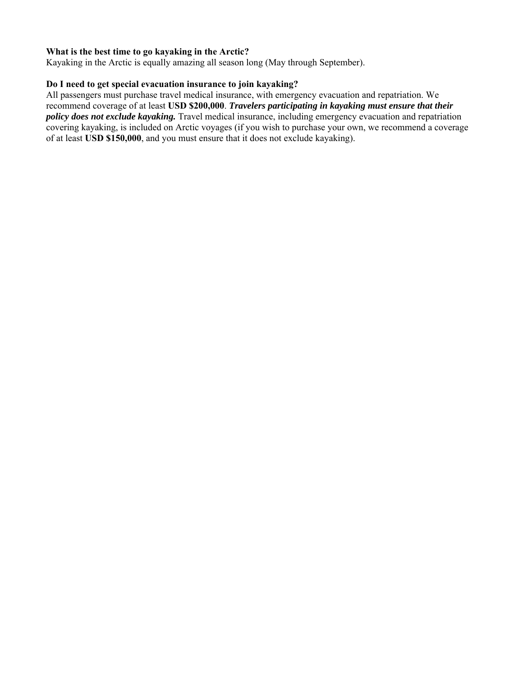# **What is the best time to go kayaking in the Arctic?**

Kayaking in the Arctic is equally amazing all season long (May through September).

# **Do I need to get special evacuation insurance to join kayaking?**

All passengers must purchase travel medical insurance, with emergency evacuation and repatriation. We recommend coverage of at least **USD \$200,000**. *Travelers participating in kayaking must ensure that their policy does not exclude kayaking.* Travel medical insurance, including emergency evacuation and repatriation covering kayaking, is included on Arctic voyages (if you wish to purchase your own, we recommend a coverage of at least **USD \$150,000**, and you must ensure that it does not exclude kayaking).